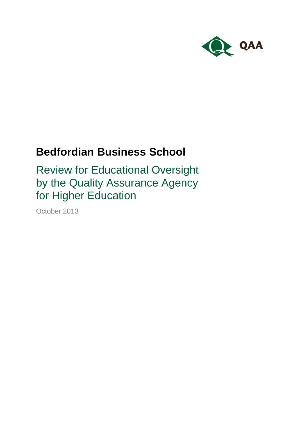

# **Bedfordian Business School**

Review for Educational Oversight by the Quality Assurance Agency for Higher Education

October 2013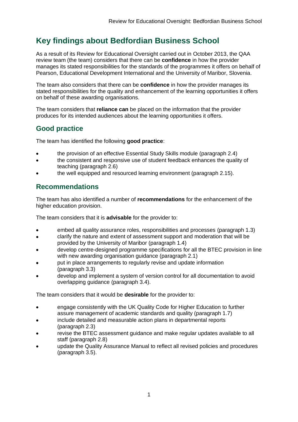## **Key findings about Bedfordian Business School**

As a result of its Review for Educational Oversight carried out in October 2013, the QAA review team (the team) considers that there can be **confidence** in how the provider manages its stated responsibilities for the standards of the programmes it offers on behalf of Pearson, Educational Development International and the University of Maribor, Slovenia.

The team also considers that there can be **confidence** in how the provider manages its stated responsibilities for the quality and enhancement of the learning opportunities it offers on behalf of these awarding organisations.

The team considers that **reliance can** be placed on the information that the provider produces for its intended audiences about the learning opportunities it offers.

### **Good practice**

The team has identified the following **good practice**:

- the provision of an effective Essential Study Skills module (paragraph 2.4)
- the consistent and responsive use of student feedback enhances the quality of teaching (paragraph 2.6)
- the well equipped and resourced learning environment (paragraph 2.15).

### **Recommendations**

The team has also identified a number of **recommendations** for the enhancement of the higher education provision.

The team considers that it is **advisable** for the provider to:

- embed all quality assurance roles, responsibilities and processes (paragraph 1.3)
- clarify the nature and extent of assessment support and moderation that will be provided by the University of Maribor (paragraph 1.4)
- develop centre-designed programme specifications for all the BTEC provision in line with new awarding organisation guidance (paragraph 2.1)
- put in place arrangements to regularly revise and update information (paragraph 3.3)
- develop and implement a system of version control for all documentation to avoid overlapping guidance (paragraph 3.4).

The team considers that it would be **desirable** for the provider to:

- engage consistently with the UK Quality Code for Higher Education to further assure management of academic standards and quality (paragraph 1.7)
- include detailed and measurable action plans in departmental reports (paragraph 2.3)
- revise the BTEC assessment guidance and make regular updates available to all staff (paragraph 2.8)
- update the Quality Assurance Manual to reflect all revised policies and procedures (paragraph 3.5).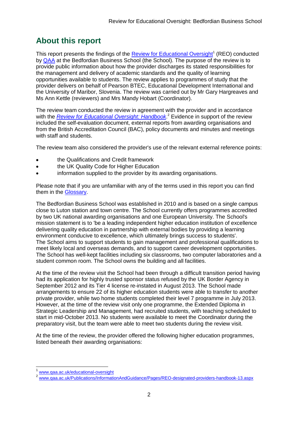## **About this report**

This report presents the findings of the **Review for Educational Oversight<sup>1</sup>** (REO) conducted by [QAA](#page-16-0) at the Bedfordian Business School (the School). The purpose of the review is to provide public information about how the provider discharges its stated responsibilities for the management and delivery of academic standards and the quality of learning opportunities available to students. The review applies to programmes of study that the provider delivers on behalf of Pearson BTEC, Educational Development International and the University of Maribor, Slovenia. The review was carried out by Mr Gary Hargreaves and Ms Ann Kettle (reviewers) and Mrs Mandy Hobart (Coordinator).

The review team conducted the review in agreement with the provider and in accordance with the *[Review for Educational Oversight:](http://www.qaa.ac.uk/Publications/InformationAndGuidance/Pages/REO-designated-providers-handbook-13.aspx) Handbook*. <sup>2</sup> Evidence in support of the review included the self-evaluation document, external reports from awarding organisations and from the British Accreditation Council (BAC), policy documents and minutes and meetings with staff and students.

The review team also considered the provider's use of the relevant external reference points:

- the Qualifications and Credit framework
- the UK Quality Code for Higher Education
- information supplied to the provider by its awarding organisations.

Please note that if you are unfamiliar with any of the terms used in this report you can find them in the [Glossary.](#page-16-1)

The Bedfordian Business School was established in 2010 and is based on a single campus close to Luton station and town centre. The School currently offers programmes accredited by two UK national awarding organisations and one European University. The School's mission statement is to 'be a leading independent higher education institution of excellence delivering quality education in partnership with external bodies by providing a learning environment conducive to excellence, which ultimately brings success to students'. The School aims to support students to gain management and professional qualifications to meet likely local and overseas demands, and to support career development opportunities. The School has well-kept facilities including six classrooms, two computer laboratories and a student common room. The School owns the building and all facilities.

At the time of the review visit the School had been through a difficult transition period having had its application for highly trusted sponsor status refused by the UK Border Agency in September 2012 and its Tier 4 license re-instated in August 2013. The School made arrangements to ensure 22 of its higher education students were able to transfer to another private provider, while two home students completed their level 7 programme in July 2013. However, at the time of the review visit only one programme, the Extended Diploma in Strategic Leadership and Management, had recruited students, with teaching scheduled to start in mid-October 2013. No students were available to meet the Coordinator during the preparatory visit, but the team were able to meet two students during the review visit.

At the time of the review, the provider offered the following higher education programmes, listed beneath their awarding organisations:

 $\overline{1}$ 

<sup>1</sup> [www.qaa.ac.uk/educational-oversight](http://www.qaa.ac.uk/educational-oversight)

<sup>2</sup> [www.qaa.ac.uk/Publications/InformationAndGuidance/Pages/REO-designated-providers-handbook-13.aspx](http://www.qaa.ac.uk/Publications/InformationAndGuidance/Pages/REO-designated-providers-handbook-13.aspx)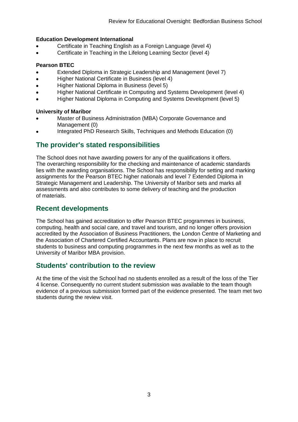#### **Education Development International**

- Certificate in Teaching English as a Foreign Language (level 4)
- Certificate in Teaching in the Lifelong Learning Sector (level 4)

#### **Pearson BTEC**

- Extended Diploma in Strategic Leadership and Management (level 7)
- Higher National Certificate in Business (level 4)
- Higher National Diploma in Business (level 5)
- Higher National Certificate in Computing and Systems Development (level 4)
- Higher National Diploma in Computing and Systems Development (level 5)

#### **University of Maribor**

- Master of Business Administration (MBA) Corporate Governance and Management (0)
- Integrated PhD Research Skills, Techniques and Methods Education (0)

### **The provider's stated responsibilities**

The School does not have awarding powers for any of the qualifications it offers. The overarching responsibility for the checking and maintenance of academic standards lies with the awarding organisations. The School has responsibility for setting and marking assignments for the Pearson BTEC higher nationals and level 7 Extended Diploma in Strategic Management and Leadership. The University of Maribor sets and marks all assessments and also contributes to some delivery of teaching and the production of materials.

### **Recent developments**

The School has gained accreditation to offer Pearson BTEC programmes in business, computing, health and social care, and travel and tourism, and no longer offers provision accredited by the Association of Business Practitioners, the London Centre of Marketing and the Association of Chartered Certified Accountants. Plans are now in place to recruit students to business and computing programmes in the next few months as well as to the University of Maribor MBA provision.

### **Students' contribution to the review**

At the time of the visit the School had no students enrolled as a result of the loss of the Tier 4 license. Consequently no current student submission was available to the team though evidence of a previous submission formed part of the evidence presented. The team met two students during the review visit.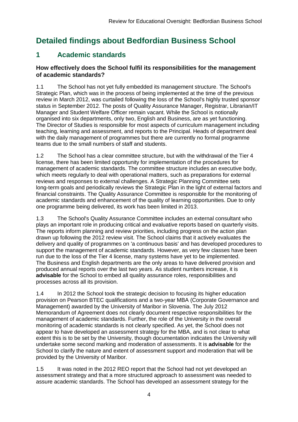## **Detailed findings about Bedfordian Business School**

## **1 Academic standards**

#### **How effectively does the School fulfil its responsibilities for the management of academic standards?**

1.1 The School has not yet fully embedded its management structure. The School's Strategic Plan, which was in the process of being implemented at the time of the previous review in March 2012, was curtailed following the loss of the School's highly trusted sponsor status in September 2012. The posts of Quality Assurance Manager, Registrar, Librarian/IT Manager and Student Welfare Officer remain vacant. While the School is notionally organised into six departments, only two, English and Business, are as yet functioning. The Director of Studies is responsible for most aspects of curriculum management including teaching, learning and assessment, and reports to the Principal. Heads of department deal with the daily management of programmes but there are currently no formal programme teams due to the small numbers of staff and students.

1.2 The School has a clear committee structure, but with the withdrawal of the Tier 4 license, there has been limited opportunity for implementation of the procedures for management of academic standards. The committee structure includes an executive body, which meets regularly to deal with operational matters, such as preparations for external reviews and responses to external challenges. A Strategic Planning Committee sets long-term goals and periodically reviews the Strategic Plan in the light of external factors and financial constraints. The Quality Assurance Committee is responsible for the monitoring of academic standards and enhancement of the quality of learning opportunities. Due to only one programme being delivered, its work has been limited in 2013.

1.3 The School's Quality Assurance Committee includes an external consultant who plays an important role in producing critical and evaluative reports based on quarterly visits. The reports inform planning and review priorities, including progress on the action plan drawn up following the 2012 review visit. The School claims that it actively evaluates the delivery and quality of programmes on 'a continuous basis' and has developed procedures to support the management of academic standards. However, as very few classes have been run due to the loss of the Tier 4 license, many systems have yet to be implemented. The Business and English departments are the only areas to have delivered provision and produced annual reports over the last two years. As student numbers increase, it is **advisable** for the School to embed all quality assurance roles, responsibilities and processes across all its provision.

1.4 In 2012 the School took the strategic decision to focusing its higher education provision on Pearson BTEC qualifications and a two-year MBA (Corporate Governance and Management) awarded by the University of Maribor in Slovenia. The July 2012 Memorandum of Agreement does not clearly document respective responsibilities for the management of academic standards. Further, the role of the University in the overall monitoring of academic standards is not clearly specified. As yet, the School does not appear to have developed an assessment strategy for the MBA, and is not clear to what extent this is to be set by the University, though documentation indicates the University will undertake some second marking and moderation of assessments. It is **advisable** for the School to clarify the nature and extent of assessment support and moderation that will be provided by the University of Maribor.

1.5 It was noted in the 2012 REO report that the School had not yet developed an assessment strategy and that a more structured approach to assessment was needed to assure academic standards. The School has developed an assessment strategy for the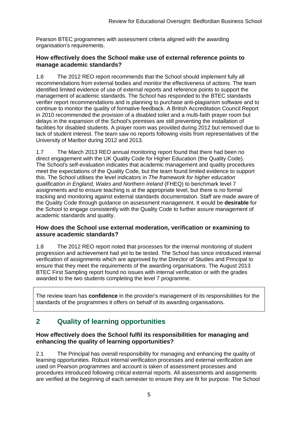Pearson BTEC programmes with assessment criteria aligned with the awarding organisation's requirements.

#### **How effectively does the School make use of external reference points to manage academic standards?**

1.6 The 2012 REO report recommends that the School should implement fully all recommendations from external bodies and monitor the effectiveness of actions. The team identified limited evidence of use of external reports and reference points to support the management of academic standards. The School has responded to the BTEC standards verifier report recommendations and is planning to purchase anti-plagiarism software and to continue to monitor the quality of formative feedback. A British Accreditation Council Report in 2010 recommended the provision of a disabled toilet and a multi-faith prayer room but delays in the expansion of the School's premises are still preventing the installation of facilities for disabled students. A prayer room was provided during 2012 but removed due to lack of student interest. The team saw no reports following visits from representatives of the University of Maribor during 2012 and 2013.

1.7 The March 2013 REO annual monitoring report found that there had been no direct engagement with the UK Quality Code for Higher Education (the Quality Code). The School's self-evaluation indicates that academic management and quality procedures meet the expectations of the Quality Code*,* but the team found limited evidence to support this. The School utilises the level indicators in *The framework for higher education qualification in England, Wales and Northern Ireland* (FHEQ) to benchmark level 7 assignments and to ensure teaching is at the appropriate level, but there is no formal tracking and monitoring against external standards documentation. Staff are made aware of the Quality Code through guidance on assessment management. It would be **desirable** for the School to engage consistently with the Quality Code to further assure management of academic standards and quality.

#### **How does the School use external moderation, verification or examining to assure academic standards?**

1.8 The 2012 REO report noted that processes for the internal monitoring of student progression and achievement had yet to be tested. The School has since introduced internal verification of assignments which are approved by the Director of Studies and Principal to ensure that they meet the requirements of the awarding organisations. The August 2013 BTEC First Sampling report found no issues with internal verification or with the grades awarded to the two students completing the level 7 programme.

The review team has **confidence** in the provider's management of its responsibilities for the standards of the programmes it offers on behalf of its awarding organisations.

## **2 Quality of learning opportunities**

#### **How effectively does the School fulfil its responsibilities for managing and enhancing the quality of learning opportunities?**

2.1 The Principal has overall responsibility for managing and enhancing the quality of learning opportunities. Robust internal verification processes and external verification are used on Pearson programmes and account is taken of assessment processes and procedures introduced following critical external reports. All assessments and assignments are verified at the beginning of each semester to ensure they are fit for purpose. The School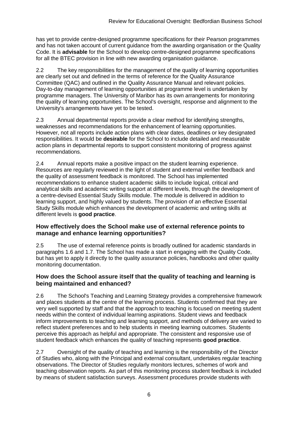has yet to provide centre-designed programme specifications for their Pearson programmes and has not taken account of current guidance from the awarding organisation or the Quality Code. It is **advisable** for the School to develop centre-designed programme specifications for all the BTEC provision in line with new awarding organisation guidance.

2.2 The key responsibilities for the management of the quality of learning opportunities are clearly set out and defined in the terms of reference for the Quality Assurance Committee (QAC) and outlined in the Quality Assurance Manual and relevant policies. Day-to-day management of learning opportunities at programme level is undertaken by programme managers. The University of Maribor has its own arrangements for monitoring the quality of learning opportunities. The School's oversight, response and alignment to the University's arrangements have yet to be tested.

2.3 Annual departmental reports provide a clear method for identifying strengths, weaknesses and recommendations for the enhancement of learning opportunities. However, not all reports include action plans with clear dates, deadlines or key designated responsibilities. It would be **desirable** for the School to include detailed and measurable action plans in departmental reports to support consistent monitoring of progress against recommendations.

2.4 Annual reports make a positive impact on the student learning experience. Resources are regularly reviewed in the light of student and external verifier feedback and the quality of assessment feedback is monitored. The School has implemented recommendations to enhance student academic skills to include logical, critical and analytical skills and academic writing support at different levels, through the development of a centre-devised Essential Study Skills module. The module is delivered in addition to learning support, and highly valued by students. The provision of an effective Essential Study Skills module which enhances the development of academic and writing skills at different levels is **good practice**.

#### **How effectively does the School make use of external reference points to manage and enhance learning opportunities?**

2.5 The use of external reference points is broadly outlined for academic standards in paragraphs 1.6 and 1.7. The School has made a start in engaging with the Quality Code, but has yet to apply it directly to the quality assurance policies, handbooks and other quality monitoring documentation.

#### **How does the School assure itself that the quality of teaching and learning is being maintained and enhanced?**

2.6 The School's Teaching and Learning Strategy provides a comprehensive framework and places students at the centre of the learning process. Students confirmed that they are very well supported by staff and that the approach to teaching is focused on meeting student needs within the context of individual learning aspirations. Student views and feedback inform improvements to teaching and learning support, and methods of delivery are varied to reflect student preferences and to help students in meeting learning outcomes. Students perceive this approach as helpful and appropriate. The consistent and responsive use of student feedback which enhances the quality of teaching represents **good practice**.

2.7 Oversight of the quality of teaching and learning is the responsibility of the Director of Studies who, along with the Principal and external consultant, undertakes regular teaching observations. The Director of Studies regularly monitors lectures, schemes of work and teaching observation reports. As part of this monitoring process student feedback is included by means of student satisfaction surveys. Assessment procedures provide students with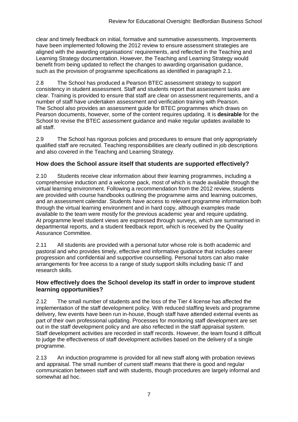clear and timely feedback on initial, formative and summative assessments. Improvements have been implemented following the 2012 review to ensure assessment strategies are aligned with the awarding organisations' requirements, and reflected in the Teaching and Learning Strategy documentation. However, the Teaching and Learning Strategy would benefit from being updated to reflect the changes to awarding organisation guidance, such as the provision of programme specifications as identified in paragraph 2.1.

2.8 The School has produced a Pearson BTEC assessment strategy to support consistency in student assessment. Staff and students report that assessment tasks are clear. Training is provided to ensure that staff are clear on assessment requirements, and a number of staff have undertaken assessment and verification training with Pearson. The School also provides an assessment guide for BTEC programmes which draws on Pearson documents, however, some of the content requires updating. It is **desirable** for the School to revise the BTEC assessment guidance and make regular updates available to all staff.

2.9 The School has rigorous policies and procedures to ensure that only appropriately qualified staff are recruited. Teaching responsibilities are clearly outlined in job descriptions and also covered in the Teaching and Learning Strategy.

#### **How does the School assure itself that students are supported effectively?**

2.10 Students receive clear information about their learning programmes, including a comprehensive induction and a welcome pack, most of which is made available through the virtual learning environment. Following a recommendation from the 2012 review, students are provided with course handbooks outlining the programme aims and learning outcomes, and an assessment calendar. Students have access to relevant programme information both through the virtual learning environment and in hard copy, although examples made available to the team were mostly for the previous academic year and require updating. At programme level student views are expressed through surveys, which are summarised in departmental reports, and a student feedback report, which is received by the Quality Assurance Committee.

2.11 All students are provided with a personal tutor whose role is both academic and pastoral and who provides timely, effective and informative guidance that includes career progression and confidential and supportive counselling. Personal tutors can also make arrangements for free access to a range of study support skills including basic IT and research skills.

#### **How effectively does the School develop its staff in order to improve student learning opportunities?**

2.12 The small number of students and the loss of the Tier 4 license has affected the implementation of the staff development policy. With reduced staffing levels and programme delivery, few events have been run in-house, though staff have attended external events as part of their own professional updating. Processes for monitoring staff development are set out in the staff development policy and are also reflected in the staff appraisal system. Staff development activities are recorded in staff records. However, the team found it difficult to judge the effectiveness of staff development activities based on the delivery of a single programme.

2.13 An induction programme is provided for all new staff along with probation reviews and appraisal. The small number of current staff means that there is good and regular communication between staff and with students, though procedures are largely informal and somewhat ad hoc.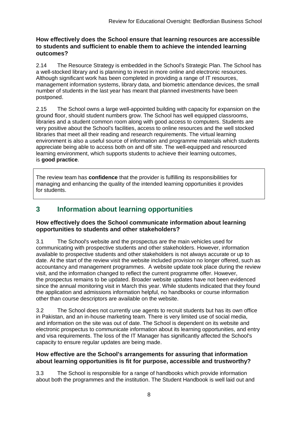#### **How effectively does the School ensure that learning resources are accessible to students and sufficient to enable them to achieve the intended learning outcomes?**

2.14 The Resource Strategy is embedded in the School's Strategic Plan. The School has a well-stocked library and is planning to invest in more online and electronic resources. Although significant work has been completed in providing a range of IT resources, management information systems, library data, and biometric attendance devices, the small number of students in the last year has meant that planned investments have been postponed.

2.15 The School owns a large well-appointed building with capacity for expansion on the ground floor, should student numbers grow. The School has well equipped classrooms, libraries and a student common room along with good access to computers. Students are very positive about the School's facilities, access to online resources and the well stocked libraries that meet all their reading and research requirements. The virtual learning environment is also a useful source of information and programme materials which students appreciate being able to access both on and off site. The well-equipped and resourced learning environment, which supports students to achieve their learning outcomes, is **good practice**.

The review team has **confidence** that the provider is fulfilling its responsibilities for managing and enhancing the quality of the intended learning opportunities it provides for students.

## **3 Information about learning opportunities**

#### **How effectively does the School communicate information about learning opportunities to students and other stakeholders?**

3.1 The School's website and the prospectus are the main vehicles used for communicating with prospective students and other stakeholders. However, information available to prospective students and other stakeholders is not always accurate or up to date. At the start of the review visit the website included provision no longer offered, such as accountancy and management programmes. A website update took place during the review visit, and the information changed to reflect the current programme offer. However, the prospectus remains to be updated. Broader website updates have not been evidenced since the annual monitoring visit in March this year. While students indicated that they found the application and admissions information helpful, no handbooks or course information other than course descriptors are available on the website.

3.2 The School does not currently use agents to recruit students but has its own office in Pakistan, and an in-house marketing team. There is very limited use of social media, and information on the site was out of date. The School is dependent on its website and electronic prospectus to communicate information about its learning opportunities, and entry and visa requirements. The loss of the IT Manager has significantly affected the School's capacity to ensure regular updates are being made.

#### **How effective are the School's arrangements for assuring that information about learning opportunities is fit for purpose, accessible and trustworthy?**

3.3 The School is responsible for a range of handbooks which provide information about both the programmes and the institution. The Student Handbook is well laid out and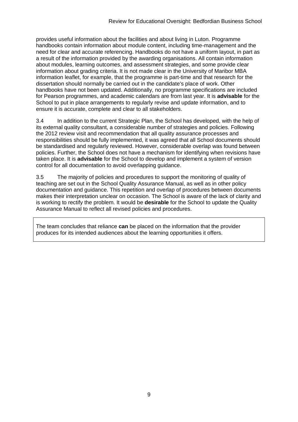provides useful information about the facilities and about living in Luton. Programme handbooks contain information about module content, including time-management and the need for clear and accurate referencing. Handbooks do not have a uniform layout, in part as a result of the information provided by the awarding organisations. All contain information about modules, learning outcomes, and assessment strategies, and some provide clear information about grading criteria. It is not made clear in the University of Maribor MBA information leaflet, for example, that the programme is part-time and that research for the dissertation should normally be carried out in the candidate's place of work. Other handbooks have not been updated. Additionally, no programme specifications are included for Pearson programmes, and academic calendars are from last year. It is **advisable** for the School to put in place arrangements to regularly revise and update information, and to ensure it is accurate, complete and clear to all stakeholders.

3.4 In addition to the current Strategic Plan, the School has developed, with the help of its external quality consultant, a considerable number of strategies and policies. Following the 2012 review visit and recommendation that all quality assurance processes and responsibilities should be fully implemented, it was agreed that all School documents should be standardised and regularly reviewed. However, considerable overlap was found between policies. Further, the School does not have a mechanism for identifying when revisions have taken place. It is **advisable** for the School to develop and implement a system of version control for all documentation to avoid overlapping guidance.

3.5 The majority of policies and procedures to support the monitoring of quality of teaching are set out in the School Quality Assurance Manual, as well as in other policy documentation and guidance. This repetition and overlap of procedures between documents makes their interpretation unclear on occasion. The School is aware of the lack of clarity and is working to rectify the problem. It would be **desirable** for the School to update the Quality Assurance Manual to reflect all revised policies and procedures.

The team concludes that reliance **can** be placed on the information that the provider produces for its intended audiences about the learning opportunities it offers.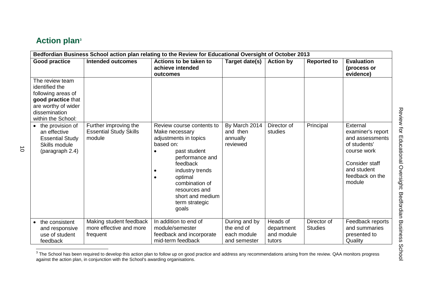## **Action plan<sup>3</sup>**

| Bedfordian Business School action plan relating to the Review for Educational Oversight of October 2013 |                                                                                                                                             |                                                                  |                                                                                                                                                                                                                                                                         |                                                            |                                                |                               |                                                                                                                                               |  |
|---------------------------------------------------------------------------------------------------------|---------------------------------------------------------------------------------------------------------------------------------------------|------------------------------------------------------------------|-------------------------------------------------------------------------------------------------------------------------------------------------------------------------------------------------------------------------------------------------------------------------|------------------------------------------------------------|------------------------------------------------|-------------------------------|-----------------------------------------------------------------------------------------------------------------------------------------------|--|
|                                                                                                         | <b>Good practice</b>                                                                                                                        | <b>Intended outcomes</b>                                         | Actions to be taken to<br>achieve intended<br>outcomes                                                                                                                                                                                                                  | Target date(s)                                             | <b>Action by</b>                               | <b>Reported to</b>            | <b>Evaluation</b><br>(process or<br>evidence)                                                                                                 |  |
|                                                                                                         | The review team<br>identified the<br>following areas of<br>good practice that<br>are worthy of wider<br>dissemination<br>within the School: |                                                                  |                                                                                                                                                                                                                                                                         |                                                            |                                                |                               |                                                                                                                                               |  |
|                                                                                                         | the provision of<br>an effective<br><b>Essential Study</b><br>Skills module<br>(paragraph 2.4)                                              | Further improving the<br><b>Essential Study Skills</b><br>module | Review course contents to<br>Make necessary<br>adjustments in topics<br>based on:<br>past student<br>$\bullet$<br>performance and<br>feedback<br>industry trends<br>٠<br>optimal<br>٠<br>combination of<br>resources and<br>short and medium<br>term strategic<br>goals | By March 2014<br>and then<br>annually<br>reviewed          | Director of<br>studies                         | Principal                     | External<br>examiner's report<br>and assessments<br>of students'<br>course work<br>Consider staff<br>and student<br>feedback on the<br>module |  |
|                                                                                                         | the consistent<br>and responsive<br>use of student<br>feedback                                                                              | Making student feedback<br>more effective and more<br>frequent   | In addition to end of<br>module/semester<br>feedback and incorporate<br>mid-term feedback                                                                                                                                                                               | During and by<br>the end of<br>each module<br>and semester | Heads of<br>department<br>and module<br>tutors | Director of<br><b>Studies</b> | Feedback reports<br>and summaries<br>presented to<br>Quality                                                                                  |  |

 3 The School has been required to develop this action plan to follow up on good practice and address any recommendations arising from the review. QAA monitors progress against the action plan, in conjunction with the School's awarding organisations.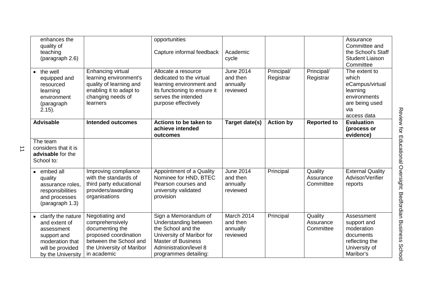| enhances the<br>quality of<br>teaching<br>(paragraph 2.6)                                                                      |                                                                                                                                                      | opportunities<br>Capture informal feedback                                                                                                                                       | Academic<br>cycle                                    |                         |                                   | Assurance<br>Committee and<br>the School's Staff<br><b>Student Liaison</b><br>Committee                       |
|--------------------------------------------------------------------------------------------------------------------------------|------------------------------------------------------------------------------------------------------------------------------------------------------|----------------------------------------------------------------------------------------------------------------------------------------------------------------------------------|------------------------------------------------------|-------------------------|-----------------------------------|---------------------------------------------------------------------------------------------------------------|
| $\bullet$ the well<br>equipped and<br>resourced<br>learning<br>environment<br>(paragraph<br>$2.15$ ).                          | Enhancing virtual<br>learning environment's<br>quality of learning and<br>enabling it to adapt to<br>changing needs of<br><b>learners</b>            | Allocate a resource<br>dedicated to the virtual<br>learning environment and<br>its functioning to ensure it<br>serves the intended<br>purpose effectively                        | <b>June 2014</b><br>and then<br>annually<br>reviewed | Principal/<br>Registrar | Principal/<br>Registrar           | The extent to<br>which<br>eCampus/virtual<br>learning<br>environments<br>are being used<br>via<br>access data |
| <b>Advisable</b>                                                                                                               | <b>Intended outcomes</b>                                                                                                                             | Actions to be taken to<br>achieve intended<br>outcomes                                                                                                                           | Target date(s)                                       | <b>Action by</b>        | <b>Reported to</b>                | <b>Evaluation</b><br>(process or<br>evidence)                                                                 |
| The team<br>considers that it is<br>advisable for the<br>School to:                                                            |                                                                                                                                                      |                                                                                                                                                                                  |                                                      |                         |                                   |                                                                                                               |
| • embed all<br>quality<br>assurance roles,<br>responsibilities<br>and processes<br>(paragraph 1.3)                             | Improving compliance<br>with the standards of<br>third party educational<br>providers/awarding<br>organisations                                      | Appointment of a Quality<br>Nominee for HND, BTEC<br>Pearson courses and<br>university validated<br>provision                                                                    | <b>June 2014</b><br>and then<br>annually<br>reviewed | Principal               | Quality<br>Assurance<br>Committee | <b>External Quality</b><br>Advisor/Verifier<br>reports                                                        |
| • clarify the nature<br>and extent of<br>assessment<br>support and<br>moderation that<br>will be provided<br>by the University | Negotiating and<br>comprehensively<br>documenting the<br>proposed coordination<br>between the School and<br>the University of Maribor<br>in academic | Sign a Memorandum of<br>Understanding between<br>the School and the<br>University of Maribor for<br><b>Master of Business</b><br>Administration/level 8<br>programmes detailing: | March 2014<br>and then<br>annually<br>reviewed       | Principal               | Quality<br>Assurance<br>Committee | Assessment<br>support and<br>moderation<br>documents<br>reflecting the<br>University of<br>Maribor's          |

 $\overrightarrow{1}$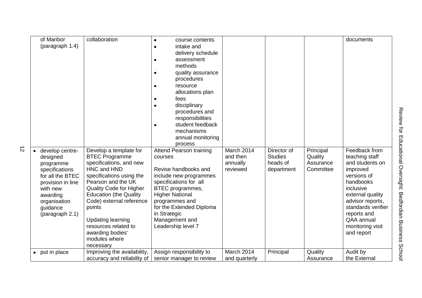| of Maribor                | collaboration                  | course contents                |               |                |           | documents          |
|---------------------------|--------------------------------|--------------------------------|---------------|----------------|-----------|--------------------|
| (paragraph 1.4)           |                                | intake and                     |               |                |           |                    |
|                           |                                | delivery schedule              |               |                |           |                    |
|                           |                                | assessment                     |               |                |           |                    |
|                           |                                | methods                        |               |                |           |                    |
|                           |                                | quality assurance              |               |                |           |                    |
|                           |                                | procedures                     |               |                |           |                    |
|                           |                                | resource<br>٠                  |               |                |           |                    |
|                           |                                | allocations plan               |               |                |           |                    |
|                           |                                | fees                           |               |                |           |                    |
|                           |                                | disciplinary                   |               |                |           |                    |
|                           |                                | procedures and                 |               |                |           |                    |
|                           |                                | responsibilities               |               |                |           |                    |
|                           |                                | student feedback               |               |                |           |                    |
|                           |                                | mechanisms                     |               |                |           |                    |
|                           |                                | annual monitoring              |               |                |           |                    |
|                           |                                | process                        |               |                |           |                    |
| develop centre-           | Develop a template for         | <b>Attend Pearson training</b> | March 2014    | Director of    | Principal | Feedback from      |
| designed                  | <b>BTEC Programme</b>          | courses                        | and then      | <b>Studies</b> | Quality   | teaching staff     |
| programme                 | specifications, and new        |                                | annually      | heads of       | Assurance | and students on    |
| specifications            | HNC and HND                    | Revise handbooks and           | reviewed      | department     | Committee | improved           |
| for all the BTEC          | specifications using the       | include new programmes         |               |                |           | versions of        |
| provision in line         | Pearson and the UK             | specifications for all         |               |                |           | handbooks          |
| with new                  | <b>Quality Code for Higher</b> | BTEC programmes,               |               |                |           | inclusive          |
| awarding                  | <b>Education (the Quality</b>  | <b>Higher National</b>         |               |                |           | external quality   |
| organisation              | Code) external reference       | programmes and                 |               |                |           | advisor reports,   |
| guidance                  | points                         | for the Extended Diploma       |               |                |           | standards verifier |
| (paragraph 2.1)           |                                | in Strategic                   |               |                |           | reports and        |
|                           | <b>Updating learning</b>       | Management and                 |               |                |           | QAA annual         |
|                           | resources related to           | Leadership level 7             |               |                |           | monitoring visit   |
|                           | awarding bodies'               |                                |               |                |           | and report         |
|                           | modules where                  |                                |               |                |           |                    |
|                           | necessary                      |                                |               |                |           |                    |
| put in place<br>$\bullet$ | Improving the availability,    | Assign responsibility to       | March 2014    | Principal      | Quality   | Audit by           |
|                           | accuracy and reliability of    | senior manager to review       | and quarterly |                | Assurance | the External       |

 $\vec{D}$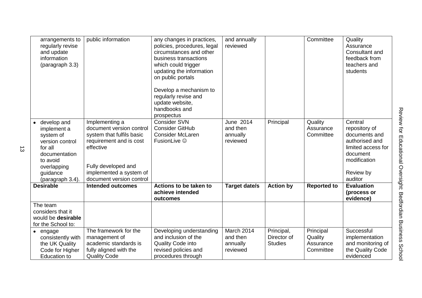| arrangements to<br>regularly revise<br>and update<br>information<br>(paragraph 3.3)                                                                 | public information                                                                                                                                                                            | any changes in practices,<br>policies, procedures, legal<br>circumstances and other<br>business transactions<br>which could trigger<br>updating the information<br>on public portals<br>Develop a mechanism to<br>regularly revise and<br>update website,<br>handbooks and<br>prospectus | and annually<br>reviewed                       |                                             | Committee                                      | Quality<br>Assurance<br>Consultant and<br>feedback from<br>teachers and<br>students                                                   |
|-----------------------------------------------------------------------------------------------------------------------------------------------------|-----------------------------------------------------------------------------------------------------------------------------------------------------------------------------------------------|------------------------------------------------------------------------------------------------------------------------------------------------------------------------------------------------------------------------------------------------------------------------------------------|------------------------------------------------|---------------------------------------------|------------------------------------------------|---------------------------------------------------------------------------------------------------------------------------------------|
| • develop and<br>implement a<br>system of<br>version control<br>for all<br>documentation<br>to avoid<br>overlapping<br>guidance<br>(paragraph 3.4). | Implementing a<br>document version control<br>system that fulfils basic<br>requirement and is cost<br>effective<br>Fully developed and<br>implemented a system of<br>document version control | <b>Consider SVN</b><br><b>Consider GitHub</b><br><b>Consider McLaren</b><br>FusionLive ©                                                                                                                                                                                                 | June 2014<br>and then<br>annually<br>reviewed  | Principal                                   | Quality<br>Assurance<br>Committee              | Central<br>repository of<br>documents and<br>authorised and<br>limited access for<br>document<br>modification<br>Review by<br>auditor |
| <b>Desirable</b>                                                                                                                                    | <b>Intended outcomes</b>                                                                                                                                                                      | Actions to be taken to<br>achieve intended<br>outcomes                                                                                                                                                                                                                                   | <b>Target date/s</b>                           | <b>Action by</b>                            | <b>Reported to</b>                             | <b>Evaluation</b><br>(process or<br>evidence)                                                                                         |
| The team<br>considers that it<br>would be desirable<br>for the School to:                                                                           |                                                                                                                                                                                               |                                                                                                                                                                                                                                                                                          |                                                |                                             |                                                |                                                                                                                                       |
| $\bullet$ engage<br>consistently with<br>the UK Quality<br>Code for Higher<br><b>Education to</b>                                                   | The framework for the<br>management of<br>academic standards is<br>fully aligned with the<br><b>Quality Code</b>                                                                              | Developing understanding<br>and inclusion of the<br><b>Quality Code into</b><br>revised policies and<br>procedures through                                                                                                                                                               | March 2014<br>and then<br>annually<br>reviewed | Principal,<br>Director of<br><b>Studies</b> | Principal<br>Quality<br>Assurance<br>Committee | Successful<br>implementation<br>and monitoring of<br>the Quality Code<br>evidenced                                                    |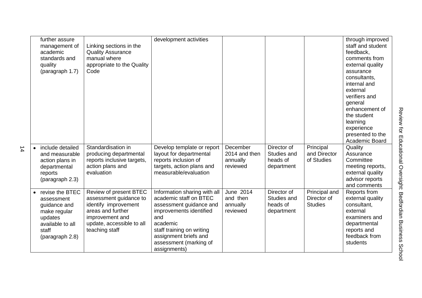| further assure<br>management of<br>academic<br>standards and<br>quality<br>(paragraph 1.7)                                            | Linking sections in the<br><b>Quality Assurance</b><br>manual where<br>appropriate to the Quality<br>Code                                                       | development activities                                                                                                                                                                                                          |                                                   |                                                      |                                                | through improved<br>staff and student<br>feedback,<br>comments from<br>external quality<br>assurance<br>consultants,<br>internal and<br>external<br>verifiers and<br>general<br>enhancement of<br>the student<br>learning<br>experience<br>presented to the<br>Academic Board |
|---------------------------------------------------------------------------------------------------------------------------------------|-----------------------------------------------------------------------------------------------------------------------------------------------------------------|---------------------------------------------------------------------------------------------------------------------------------------------------------------------------------------------------------------------------------|---------------------------------------------------|------------------------------------------------------|------------------------------------------------|-------------------------------------------------------------------------------------------------------------------------------------------------------------------------------------------------------------------------------------------------------------------------------|
| include detailed<br>$\bullet$<br>and measurable<br>action plans in<br>departmental<br>reports<br>(paragraph 2.3)                      | Standardisation in<br>producing departmental<br>reports inclusive targets,<br>action plans and<br>evaluation                                                    | Develop template or report<br>layout for departmental<br>reports inclusion of<br>targets, action plans and<br>measurable/evaluation                                                                                             | December<br>2014 and then<br>annually<br>reviewed | Director of<br>Studies and<br>heads of<br>department | Principal<br>and Director<br>of Studies        | Quality<br>Assurance<br>Committee<br>meeting reports,<br>external quality<br>advisor reports<br>and comments                                                                                                                                                                  |
| revise the BTEC<br>$\bullet$<br>assessment<br>guidance and<br>make regular<br>updates<br>available to all<br>staff<br>(paragraph 2.8) | Review of present BTEC<br>assessment guidance to<br>identify improvement<br>areas and further<br>improvement and<br>update, accessible to all<br>teaching staff | Information sharing with all<br>academic staff on BTEC<br>assessment guidance and<br>improvements identified<br>and<br>academic<br>staff training on writing<br>assignment briefs and<br>assessment (marking of<br>assignments) | June 2014<br>and then<br>annually<br>reviewed     | Director of<br>Studies and<br>heads of<br>department | Principal and<br>Director of<br><b>Studies</b> | Reports from<br>external quality<br>consultant,<br>external<br>examiners and<br>departmental<br>reports and<br>feedback from<br>students                                                                                                                                      |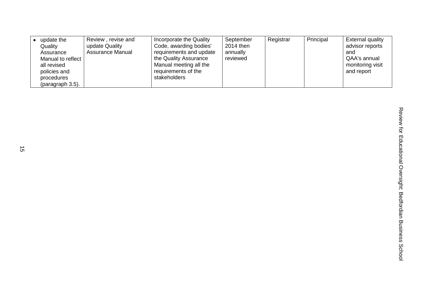| update the                                               | Review, revise and                 | Incorporate the Quality                                                                              | September                         | Registrar | Principal | <b>External quality</b>                                    |
|----------------------------------------------------------|------------------------------------|------------------------------------------------------------------------------------------------------|-----------------------------------|-----------|-----------|------------------------------------------------------------|
| Quality<br>Assurance<br>Manual to reflect<br>all revised | update Quality<br>Assurance Manual | Code, awarding bodies'<br>requirements and update<br>the Quality Assurance<br>Manual meeting all the | 2014 then<br>annually<br>reviewed |           |           | advisor reports<br>and<br>QAA's annual<br>monitoring visit |
| policies and<br>procedures<br>(paragraph 3.5).           |                                    | requirements of the<br>stakeholders                                                                  |                                   |           |           | and report                                                 |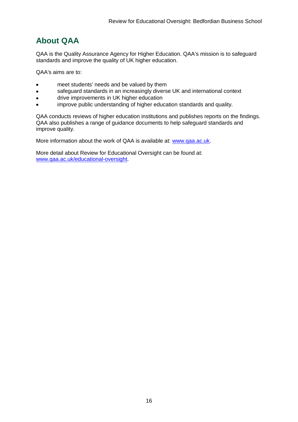## <span id="page-16-0"></span>**About QAA**

QAA is the Quality Assurance Agency for Higher Education. QAA's mission is to safeguard standards and improve the quality of UK higher education.

QAA's aims are to:

- meet students' needs and be valued by them
- safeguard standards in an increasingly diverse UK and international context
- drive improvements in UK higher education
- improve public understanding of higher education standards and quality.

QAA conducts reviews of higher education institutions and publishes reports on the findings. QAA also publishes a range of guidance documents to help safeguard standards and improve quality.

More information about the work of QAA is available at: [www.qaa.ac.uk.](http://www.qaa.ac.uk/)

<span id="page-16-1"></span>More detail about Review for Educational Oversight can be found at: [www.qaa.ac.uk/educational-oversight.](http://www.qaa.ac.uk/educational-oversight)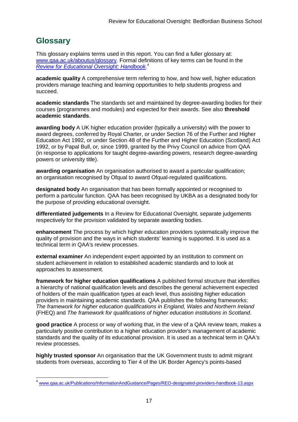## **Glossary**

This glossary explains terms used in this report. You can find a fuller glossary at: [www.qaa.ac.uk/aboutus/glossary.](http://www.qaa.ac.uk/aboutus/glossary) Formal definitions of key terms can be found in the *[Review for Educational Oversight: Handbook](http://www.qaa.ac.uk/Publications/InformationAndGuidance/Pages/REO-designated-providers-handbook-13.aspx)*. 4

**academic quality** A comprehensive term referring to how, and how well, higher education providers manage teaching and learning opportunities to help students progress and succeed.

**academic standards** The standards set and maintained by degree-awarding bodies for their courses (programmes and modules) and expected for their awards. See also **threshold academic standards**.

**awarding body** A UK higher education provider (typically a university) with the power to award degrees, conferred by Royal Charter, or under Section 76 of the Further and Higher Education Act 1992, or under Section 48 of the Further and Higher Education (Scotland) Act 1992, or by Papal Bull, or, since 1999, granted by the Privy Council on advice from QAA (in response to applications for taught degree-awarding powers, research degree-awarding powers or university title).

**awarding organisation** An organisation authorised to award a particular qualification; an organisation recognised by Ofqual to award Ofqual-regulated qualifications.

**designated body** An organisation that has been formally appointed or recognised to perform a particular function. QAA has been recognised by UKBA as a designated body for the purpose of providing educational oversight.

**differentiated judgements** In a Review for Educational Oversight, separate judgements respectively for the provision validated by separate awarding bodies.

**enhancement** The process by which higher education providers systematically improve the quality of provision and the ways in which students' learning is supported. It is used as a technical term in QAA's review processes.

**external examiner** An independent expert appointed by an institution to comment on student achievement in relation to established academic standards and to look at approaches to assessment.

**framework for higher education qualifications** A published formal structure that identifies a hierarchy of national qualification levels and describes the general achievement expected of holders of the main qualification types at each level, thus assisting higher education providers in maintaining academic standards. QAA publishes the following frameworks: *The framework for higher education qualifications in England, Wales and Northern Ireland* (FHEQ) and *The framework for qualifications of higher education institutions in Scotland*.

**good practice** A process or way of working that, in the view of a QAA review team, makes a particularly positive contribution to a higher education provider's management of academic standards and the quality of its educational provision. It is used as a technical term in QAA's review processes.

**highly trusted sponsor** An organisation that the UK Government trusts to admit migrant students from overseas, according to Tier 4 of the UK Border Agency's points-based

\_<br><sup>4</sup> [www.qaa.ac.uk/Publications/InformationAndGuidance/Pages/REO-designated-providers-handbook-13.aspx](http://www.qaa.ac.uk/Publications/InformationAndGuidance/Pages/REO-designated-providers-handbook-13.aspx)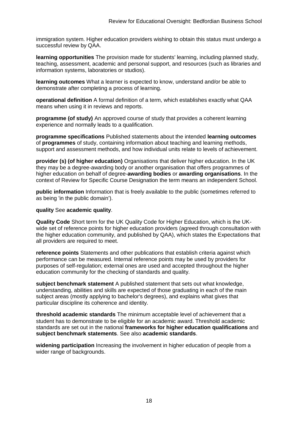immigration system. Higher education providers wishing to obtain this status must undergo a successful review by QAA.

**learning opportunities** The provision made for students' learning, including planned study, teaching, assessment, academic and personal support, and resources (such as libraries and information systems, laboratories or studios).

**learning outcomes** What a learner is expected to know, understand and/or be able to demonstrate after completing a process of learning.

**operational definition** A formal definition of a term, which establishes exactly what QAA means when using it in reviews and reports.

**programme (of study)** An approved course of study that provides a coherent learning experience and normally leads to a qualification.

**programme specifications** Published statements about the intended **[learning outcomes](http://newlive.qaa.ac.uk/aboutus/glossary/pages/glossary-l.aspx#l2)** of **programmes** of study, containing information about teaching and learning methods, support and assessment methods, and how individual units relate to levels of achievement.

**provider (s) (of higher education)** Organisations that deliver higher education. In the UK they may be a degree-awarding body or another organisation that offers programmes of higher education on behalf of degree-**awarding bodies** or **awarding organisations**. In the context of Review for Specific Course Designation the term means an independent School.

**public information** Information that is freely available to the public (sometimes referred to as being 'in the public domain').

#### **quality** See **academic quality**.

**Quality Code** Short term for the UK Quality Code for Higher Education, which is the UKwide set of reference points for higher education providers (agreed through consultation with the higher education community, and published by QAA), which states the Expectations that all providers are required to meet.

**reference points** Statements and other publications that establish criteria against which performance can be measured. Internal reference points may be used by providers for purposes of self-regulation; external ones are used and accepted throughout the higher education community for the checking of standards and quality.

**subject benchmark statement** A published statement that sets out what knowledge, understanding, abilities and skills are expected of those graduating in each of the main subject areas (mostly applying to [bachelor's degrees\)](http://newlive.qaa.ac.uk/aboutus/glossary/pages/glossary-b/aspx#b1), and explains what gives that particular discipline its coherence and identity.

**threshold academic standards** The minimum acceptable level of achievement that a student has to demonstrate to be eligible for an academic award. Threshold academic standards are set out in the national **frameworks for higher education qualifications** and **subject benchmark statements**. See also **[academic standards](http://newlive.qaa.ac.uk/aboutus/glossary/pages/glossary-a.aspx#a3)**.

**widening participation** Increasing the involvement in higher education of people from a wider range of backgrounds.